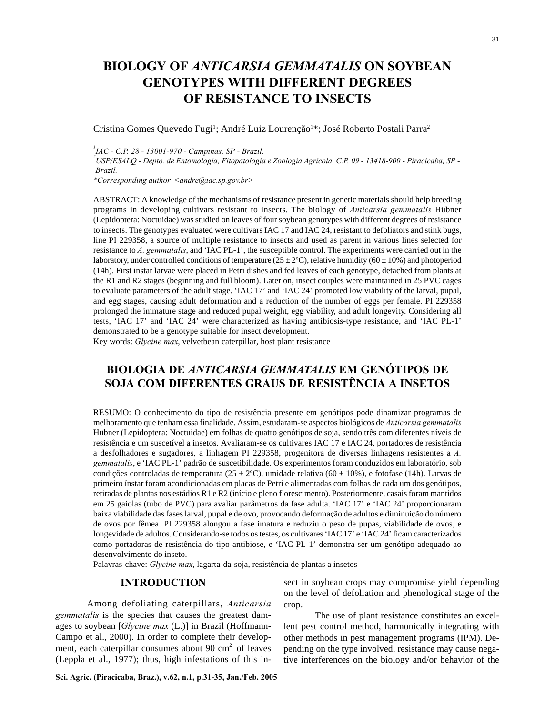# **BIOLOGY OF** *ANTICARSIA GEMMATALIS* **ON SOYBEAN GENOTYPES WITH DIFFERENT DEGREES OF RESISTANCE TO INSECTS**

Cristina Gomes Quevedo Fugi<sup>1</sup>; André Luiz Lourenção<sup>1\*</sup>; José Roberto Postali Parra<sup>2</sup>

*1 IAC - C.P. 28 - 13001-970 - Campinas, SP - Brazil.*

*2 USP/ESALQ - Depto. de Entomologia, Fitopatologia e Zoologia Agrícola, C.P. 09 - 13418-900 - Piracicaba, SP - Brazil.*

*\*Corresponding author <andre@iac.sp.gov.br>*

ABSTRACT: A knowledge of the mechanisms of resistance present in genetic materials should help breeding programs in developing cultivars resistant to insects. The biology of *Anticarsia gemmatalis* Hübner (Lepidoptera: Noctuidae) was studied on leaves of four soybean genotypes with different degrees of resistance to insects. The genotypes evaluated were cultivars IAC 17 and IAC 24, resistant to defoliators and stink bugs, line PI 229358, a source of multiple resistance to insects and used as parent in various lines selected for resistance to *A. gemmatalis*, and 'IAC PL-1', the susceptible control. The experiments were carried out in the laboratory, under controlled conditions of temperature ( $25 \pm 2^{\circ}$ C), relative humidity ( $60 \pm 10\%$ ) and photoperiod (14h). First instar larvae were placed in Petri dishes and fed leaves of each genotype, detached from plants at the R1 and R2 stages (beginning and full bloom). Later on, insect couples were maintained in 25 PVC cages to evaluate parameters of the adult stage. 'IAC 17' and 'IAC 24' promoted low viability of the larval, pupal, and egg stages, causing adult deformation and a reduction of the number of eggs per female. PI 229358 prolonged the immature stage and reduced pupal weight, egg viability, and adult longevity. Considering all tests, 'IAC 17' and 'IAC 24' were characterized as having antibiosis-type resistance, and 'IAC PL-1' demonstrated to be a genotype suitable for insect development.

Key words: *Glycine max*, velvetbean caterpillar, host plant resistance

## **BIOLOGIA DE** *ANTICARSIA GEMMATALIS* **EM GENÓTIPOS DE SOJA COM DIFERENTES GRAUS DE RESISTÊNCIA A INSETOS**

RESUMO: O conhecimento do tipo de resistência presente em genótipos pode dinamizar programas de melhoramento que tenham essa finalidade. Assim, estudaram-se aspectos biológicos de *Anticarsia gemmatalis* Hübner (Lepidoptera: Noctuidae) em folhas de quatro genótipos de soja, sendo três com diferentes níveis de resistência e um suscetível a insetos. Avaliaram-se os cultivares IAC 17 e IAC 24, portadores de resistência a desfolhadores e sugadores, a linhagem PI 229358, progenitora de diversas linhagens resistentes a *A. gemmatalis*, e 'IAC PL-1' padrão de suscetibilidade. Os experimentos foram conduzidos em laboratório, sob condições controladas de temperatura ( $25 \pm 2^{\circ}$ C), umidade relativa ( $60 \pm 10\%$ ), e fotofase (14h). Larvas de primeiro ínstar foram acondicionadas em placas de Petri e alimentadas com folhas de cada um dos genótipos, retiradas de plantas nos estádios R1 e R2 (início e pleno florescimento). Posteriormente, casais foram mantidos em 25 gaiolas (tubo de PVC) para avaliar parâmetros da fase adulta. 'IAC 17' e 'IAC 24' proporcionaram baixa viabilidade das fases larval, pupal e de ovo, provocando deformação de adultos e diminuição do número de ovos por fêmea. PI 229358 alongou a fase imatura e reduziu o peso de pupas, viabilidade de ovos, e longevidade de adultos. Considerando-se todos os testes, os cultivares 'IAC 17' e 'IAC 24' ficam caracterizados como portadoras de resistência do tipo antibiose, e 'IAC PL-1' demonstra ser um genótipo adequado ao desenvolvimento do inseto.

Palavras-chave: *Glycine max*, lagarta-da-soja, resistência de plantas a insetos

#### **INTRODUCTION**

Among defoliating caterpillars, *Anticarsia gemmatalis* is the species that causes the greatest damages to soybean [*Glycine max* (L.)] in Brazil (Hoffmann-Campo et al., 2000). In order to complete their development, each caterpillar consumes about 90  $\text{cm}^2$  of leaves (Leppla et al., 1977); thus, high infestations of this in-

sect in soybean crops may compromise yield depending on the level of defoliation and phenological stage of the crop.

The use of plant resistance constitutes an excellent pest control method, harmonically integrating with other methods in pest management programs (IPM). Depending on the type involved, resistance may cause negative interferences on the biology and/or behavior of the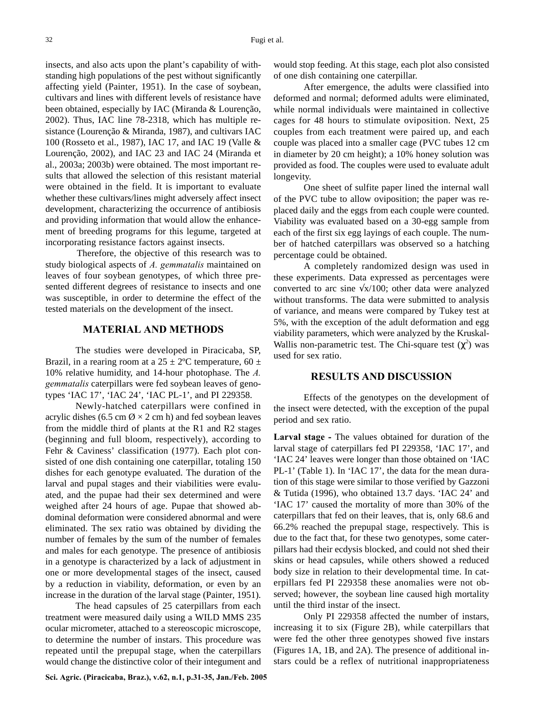insects, and also acts upon the plant's capability of withstanding high populations of the pest without significantly affecting yield (Painter, 1951). In the case of soybean, cultivars and lines with different levels of resistance have been obtained, especially by IAC (Miranda & Lourenção, 2002). Thus, IAC line 78-2318, which has multiple resistance (Lourenção & Miranda, 1987), and cultivars IAC 100 (Rosseto et al., 1987), IAC 17, and IAC 19 (Valle & Lourenção, 2002), and IAC 23 and IAC 24 (Miranda et al., 2003a; 2003b) were obtained. The most important results that allowed the selection of this resistant material were obtained in the field. It is important to evaluate whether these cultivars/lines might adversely affect insect development, characterizing the occurrence of antibiosis and providing information that would allow the enhancement of breeding programs for this legume, targeted at incorporating resistance factors against insects.

Therefore, the objective of this research was to study biological aspects of *A. gemmatalis* maintained on leaves of four soybean genotypes, of which three presented different degrees of resistance to insects and one was susceptible, in order to determine the effect of the tested materials on the development of the insect.

### **MATERIAL AND METHODS**

The studies were developed in Piracicaba, SP, Brazil, in a rearing room at a  $25 \pm 2^{\circ}$ C temperature, 60  $\pm$ 10% relative humidity, and 14-hour photophase. The *A. gemmatalis* caterpillars were fed soybean leaves of genotypes 'IAC 17', 'IAC 24', 'IAC PL-1', and PI 229358.

Newly-hatched caterpillars were confined in acrylic dishes (6.5 cm  $\emptyset \times 2$  cm h) and fed soybean leaves from the middle third of plants at the R1 and R2 stages (beginning and full bloom, respectively), according to Fehr & Caviness' classification (1977). Each plot consisted of one dish containing one caterpillar, totaling 150 dishes for each genotype evaluated. The duration of the larval and pupal stages and their viabilities were evaluated, and the pupae had their sex determined and were weighed after 24 hours of age. Pupae that showed abdominal deformation were considered abnormal and were eliminated. The sex ratio was obtained by dividing the number of females by the sum of the number of females and males for each genotype. The presence of antibiosis in a genotype is characterized by a lack of adjustment in one or more developmental stages of the insect, caused by a reduction in viability, deformation, or even by an increase in the duration of the larval stage (Painter, 1951).

The head capsules of 25 caterpillars from each treatment were measured daily using a WILD MMS 235 ocular micrometer, attached to a stereoscopic microscope, to determine the number of instars. This procedure was repeated until the prepupal stage, when the caterpillars would change the distinctive color of their integument and

would stop feeding. At this stage, each plot also consisted of one dish containing one caterpillar.

After emergence, the adults were classified into deformed and normal; deformed adults were eliminated, while normal individuals were maintained in collective cages for 48 hours to stimulate oviposition. Next, 25 couples from each treatment were paired up, and each couple was placed into a smaller cage (PVC tubes 12 cm in diameter by 20 cm height); a 10% honey solution was provided as food. The couples were used to evaluate adult longevity.

One sheet of sulfite paper lined the internal wall of the PVC tube to allow oviposition; the paper was replaced daily and the eggs from each couple were counted. Viability was evaluated based on a 30-egg sample from each of the first six egg layings of each couple. The number of hatched caterpillars was observed so a hatching percentage could be obtained.

A completely randomized design was used in these experiments. Data expressed as percentages were converted to arc sine  $\sqrt{x/100}$ ; other data were analyzed without transforms. The data were submitted to analysis of variance, and means were compared by Tukey test at 5%, with the exception of the adult deformation and egg viability parameters, which were analyzed by the Kruskal-Wallis non-parametric test. The Chi-square test  $(\chi^2)$  was used for sex ratio.

#### **RESULTS AND DISCUSSION**

Effects of the genotypes on the development of the insect were detected, with the exception of the pupal period and sex ratio.

**Larval stage -** The values obtained for duration of the larval stage of caterpillars fed PI 229358, 'IAC 17', and 'IAC 24' leaves were longer than those obtained on 'IAC PL-1' (Table 1). In 'IAC 17', the data for the mean duration of this stage were similar to those verified by Gazzoni & Tutida (1996), who obtained 13.7 days. 'IAC 24' and 'IAC 17' caused the mortality of more than 30% of the caterpillars that fed on their leaves, that is, only 68.6 and 66.2% reached the prepupal stage, respectively. This is due to the fact that, for these two genotypes, some caterpillars had their ecdysis blocked, and could not shed their skins or head capsules, while others showed a reduced body size in relation to their developmental time. In caterpillars fed PI 229358 these anomalies were not observed; however, the soybean line caused high mortality until the third instar of the insect.

Only PI 229358 affected the number of instars, increasing it to six (Figure 2B), while caterpillars that were fed the other three genotypes showed five instars (Figures 1A, 1B, and 2A). The presence of additional instars could be a reflex of nutritional inappropriateness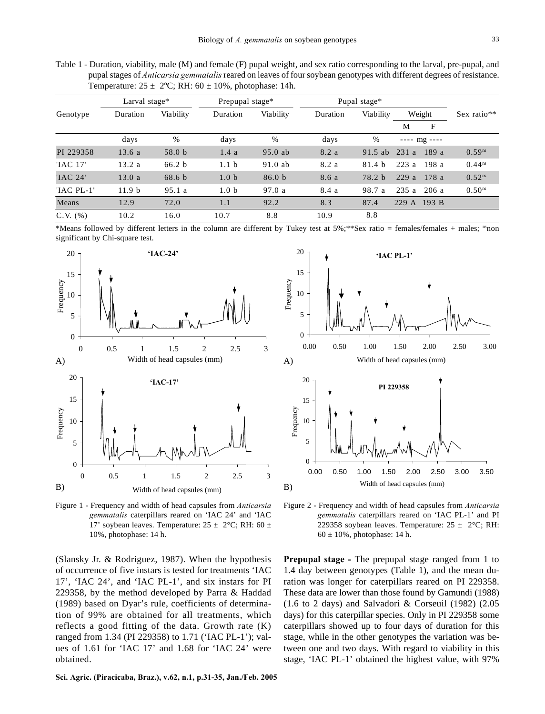Table 1 - Duration, viability, male (M) and female (F) pupal weight, and sex ratio corresponding to the larval, pre-pupal, and pupal stages of *Anticarsia gemmatalis* reared on leaves of four soybean genotypes with different degrees of resistance. Temperature:  $25 \pm 2$ °C; RH:  $60 \pm 10$ %, photophase: 14h.

|                | Larval stage*     |                   | Prepupal stage*  |                   | Pupal stage* |           |             |             |                    |
|----------------|-------------------|-------------------|------------------|-------------------|--------------|-----------|-------------|-------------|--------------------|
| Genotype       | Duration          | Viability         | Duration         | Viability         | Duration     | Viability | Weight      |             | Sex ratio**        |
|                |                   |                   |                  |                   |              |           | М           | F           |                    |
|                | days              | %                 | days             | %                 | days         | %         | $--- mg---$ |             |                    |
| PI 229358      | 13.6a             | 58.0 b            | 1.4a             | $95.0$ ab         | 8.2 a        | $91.5$ ab | 231a        | 189 a       | $0.59^{ns}$        |
| 'IAC 17'       | 13.2a             | 66.2 <sub>b</sub> | 1.1 <sub>b</sub> | $91.0$ ab         | 8.2 a        | 81.4 h    | 223a        | 198 a       | $0.44^{ns}$        |
| 'IAC 24'       | 13.0a             | 68.6 <sub>b</sub> | 1.0 <sub>b</sub> | 86.0 <sub>b</sub> | 8.6 a        | 78.2 b    | 229a        | 178 a       | $0.52^{ns}$        |
| 'IAC PL-1'     | 11.9 <sub>b</sub> | 95.1a             | 1.0 <sub>b</sub> | 97.0a             | 8.4 a        | 98.7 a    |             | 235 a 206 a | 0.50 <sup>ns</sup> |
| Means          | 12.9              | 72.0              | 1.1              | 92.2              | 8.3          | 87.4      | 229 A 193 B |             |                    |
| $C.V.$ $(\% )$ | 10.2              | 16.0              | 10.7             | 8.8               | 10.9         | 8.8       |             |             |                    |

\*Means followed by different letters in the column are different by Tukey test at  $5\%$ ;\*\*Sex ratio = females/females + males; <sup>ns</sup>non significant by Chi-square test.



Figure 1 - Frequency and width of head capsules from *Anticarsia gemmatalis* caterpillars reared on 'IAC 24' and 'IAC 17' soybean leaves. Temperature:  $25 \pm 2$ °C; RH: 60  $\pm$ 10%, photophase: 14 h.

(Slansky Jr. & Rodriguez, 1987). When the hypothesis of occurrence of five instars is tested for treatments 'IAC 17', 'IAC 24', and 'IAC PL-1', and six instars for PI 229358, by the method developed by Parra & Haddad (1989) based on Dyar's rule, coefficients of determination of 99% are obtained for all treatments, which reflects a good fitting of the data. Growth rate (K) ranged from 1.34 (PI 229358) to 1.71 ('IAC PL-1'); values of 1.61 for 'IAC 17' and 1.68 for 'IAC 24' were obtained.



Figure 2 - Frequency and width of head capsules from *Anticarsia gemmatalis* caterpillars reared on 'IAC PL-1' and PI 229358 soybean leaves. Temperature:  $25 \pm 2^{\circ}$ C; RH:  $60 \pm 10\%$ , photophase: 14 h.

**Prepupal stage -** The prepupal stage ranged from 1 to 1.4 day between genotypes (Table 1), and the mean duration was longer for caterpillars reared on PI 229358. These data are lower than those found by Gamundi (1988) (1.6 to 2 days) and Salvadori & Corseuil (1982) (2.05 days) for this caterpillar species. Only in PI 229358 some caterpillars showed up to four days of duration for this stage, while in the other genotypes the variation was between one and two days. With regard to viability in this stage, 'IAC PL-1' obtained the highest value, with 97%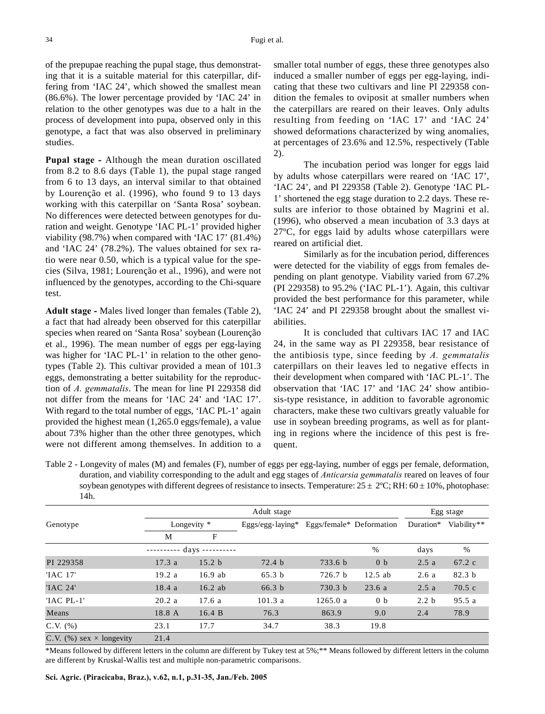of the prepupae reaching the pupal stage, thus demonstrating that it is a suitable material for this caterpillar, differing from 'IAC 24', which showed the smallest mean (86.6%). The lower percentage provided by 'IAC 24' in relation to the other genotypes was due to a halt in the process of development into pupa, observed only in this genotype, a fact that was also observed in preliminary studies.

**Pupal stage -** Although the mean duration oscillated from 8.2 to 8.6 days (Table 1), the pupal stage ranged from 6 to 13 days, an interval similar to that obtained by Lourenção et al. (1996), who found 9 to 13 days working with this caterpillar on 'Santa Rosa' soybean. No differences were detected between genotypes for duration and weight. Genotype 'IAC PL-1' provided higher viability (98.7%) when compared with 'IAC 17' (81.4%) and 'IAC 24' (78.2%). The values obtained for sex ratio were near 0.50, which is a typical value for the species (Silva, 1981; Lourenção et al., 1996), and were not influenced by the genotypes, according to the Chi-square test.

**Adult stage -** Males lived longer than females (Table 2), a fact that had already been observed for this caterpillar species when reared on 'Santa Rosa' soybean (Lourenção et al., 1996). The mean number of eggs per egg-laying was higher for 'IAC PL-1' in relation to the other genotypes (Table 2). This cultivar provided a mean of 101.3 eggs, demonstrating a better suitability for the reproduction of *A. gemmatalis*. The mean for line PI 229358 did not differ from the means for 'IAC 24' and 'IAC 17'. With regard to the total number of eggs, 'IAC PL-1' again provided the highest mean (1,265.0 eggs/female), a value about 73% higher than the other three genotypes, which were not different among themselves. In addition to a smaller total number of eggs, these three genotypes also induced a smaller number of eggs per egg-laying, indicating that these two cultivars and line PI 229358 condition the females to oviposit at smaller numbers when the caterpillars are reared on their leaves. Only adults resulting from feeding on 'IAC 17' and 'IAC 24' showed deformations characterized by wing anomalies, at percentages of 23.6% and 12.5%, respectively (Table 2).

The incubation period was longer for eggs laid by adults whose caterpillars were reared on 'IAC 17', 'IAC 24', and PI 229358 (Table 2). Genotype 'IAC PL-1' shortened the egg stage duration to 2.2 days. These results are inferior to those obtained by Magrini et al. (1996), who observed a mean incubation of 3.3 days at 27ºC, for eggs laid by adults whose caterpillars were reared on artificial diet.

Similarly as for the incubation period, differences were detected for the viability of eggs from females depending on plant genotype. Viability varied from 67.2% (PI 229358) to 95.2% ('IAC PL-1'). Again, this cultivar provided the best performance for this parameter, while 'IAC 24' and PI 229358 brought about the smallest viabilities.

It is concluded that cultivars IAC 17 and IAC 24, in the same way as PI 229358, bear resistance of the antibiosis type, since feeding by *A. gemmatalis* caterpillars on their leaves led to negative effects in their development when compared with 'IAC PL-1'. The observation that 'IAC 17' and 'IAC 24' show antibiosis-type resistance, in addition to favorable agronomic characters, make these two cultivars greatly valuable for use in soybean breeding programs, as well as for planting in regions where the incidence of this pest is frequent.

Table 2 - Longevity of males (M) and females (F), number of eggs per egg-laying, number of eggs per female, deformation, duration, and viability corresponding to the adult and egg stages of *Anticarsia gemmatalis* reared on leaves of four soybean genotypes with different degrees of resistance to insects. Temperature:  $25 \pm 2^{\circ}C$ ; RH:  $60 \pm 10\%$ , photophase: 14h.

|                                     | Adult stage                |                   |                     |                    |                          |                  | Egg stage         |  |
|-------------------------------------|----------------------------|-------------------|---------------------|--------------------|--------------------------|------------------|-------------------|--|
| Genotype                            | Longevity *                |                   | $Eggs/egg$ -laying* |                    | Eggs/female* Deformation | Duration*        | Viability**       |  |
|                                     | М                          | F                 |                     |                    |                          |                  |                   |  |
|                                     | ---------- days ---------- |                   |                     |                    | %                        | days             | $\%$              |  |
| PI 229358                           | 17.3a                      | 15.2 <sub>b</sub> | 72.4 b              | 733.6 b            | 0 <sub>b</sub>           | 2.5a             | $67.2 \text{ c}$  |  |
| 'IAC 17'                            | 19.2a                      | $16.9$ ab         | 65.3 <sub>b</sub>   | 726.7 <sub>b</sub> | $12.5$ ab                | 2.6a             | 82.3 <sub>b</sub> |  |
| 'IAC 24'                            | 18.4a                      | $16.2$ ab         | 66.3 b              | 730.3 b            | 23.6a                    | 2.5a             | 70.5c             |  |
| 'IAC PL-1'                          | 20.2a                      | 17.6a             | 101.3a              | 1265.0a            | 0 <sub>b</sub>           | 2.2 <sub>b</sub> | 95.5a             |  |
| Means                               | 18.8 A                     | 16.4 B            | 76.3                | 863.9              | 9.0                      | 2.4              | 78.9              |  |
| $C.V.$ $(\% )$                      | 23.1                       | 17.7              | 34.7                | 38.3               | 19.8                     |                  |                   |  |
| C.V. $(\% )$ sex $\times$ longevity | 21.4                       |                   |                     |                    |                          |                  |                   |  |

\*Means followed by different letters in the column are different by Tukey test at 5%;\*\* Means followed by different letters in the column are different by Kruskal-Wallis test and multiple non-parametric comparisons.